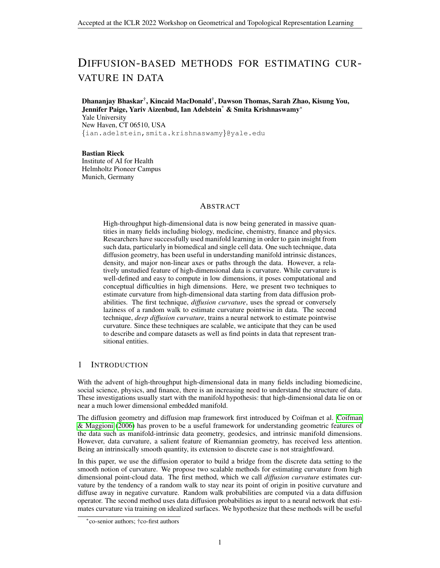# DIFFUSION-BASED METHODS FOR ESTIMATING CUR-VATURE IN DATA

Dhananjay Bhaskar† , Kincaid MacDonald† , Dawson Thomas, Sarah Zhao, Kisung You, Jennifer Paige, Yariv Aizenbud, Ian Adelstein\* & Smita Krishnaswamy<sup>∗</sup> Yale University New Haven, CT 06510, USA {ian.adelstein,smita.krishnaswamy}@yale.edu

Bastian Rieck Institute of AI for Health Helmholtz Pioneer Campus Munich, Germany

## ABSTRACT

High-throughput high-dimensional data is now being generated in massive quantities in many fields including biology, medicine, chemistry, finance and physics. Researchers have successfully used manifold learning in order to gain insight from such data, particularly in biomedical and single cell data. One such technique, data diffusion geometry, has been useful in understanding manifold intrinsic distances, density, and major non-linear axes or paths through the data. However, a relatively unstudied feature of high-dimensional data is curvature. While curvature is well-defined and easy to compute in low dimensions, it poses computational and conceptual difficulties in high dimensions. Here, we present two techniques to estimate curvature from high-dimensional data starting from data diffusion probabilities. The first technique, *diffusion curvature*, uses the spread or conversely laziness of a random walk to estimate curvature pointwise in data. The second technique, *deep diffusion curvature*, trains a neural network to estimate pointwise curvature. Since these techniques are scalable, we anticipate that they can be used to describe and compare datasets as well as find points in data that represent transitional entities.

# 1 INTRODUCTION

With the advent of high-throughput high-dimensional data in many fields including biomedicine, social science, physics, and finance, there is an increasing need to understand the structure of data. These investigations usually start with the manifold hypothesis: that high-dimensional data lie on or near a much lower dimensional embedded manifold.

The diffusion geometry and diffusion map framework first introduced by Coifman et al. [Coifman](#page-4-0) [& Maggioni](#page-4-0) [\(2006\)](#page-4-0) has proven to be a useful framework for understanding geometric features of the data such as manifold-intrinsic data geometry, geodesics, and intrinsic manifold dimensions. However, data curvature, a salient feature of Riemannian geometry, has received less attention. Being an intrinsically smooth quantity, its extension to discrete case is not straightfoward.

In this paper, we use the diffusion operator to build a bridge from the discrete data setting to the smooth notion of curvature. We propose two scalable methods for estimating curvature from high dimensional point-cloud data. The first method, which we call *diffusion curvature* estimates curvature by the tendency of a random walk to stay near its point of origin in positive curvature and diffuse away in negative curvature. Random walk probabilities are computed via a data diffusion operator. The second method uses data diffusion probabilities as input to a neural network that estimates curvature via training on idealized surfaces. We hypothesize that these methods will be useful

<sup>∗</sup> co-senior authors; †co-first authors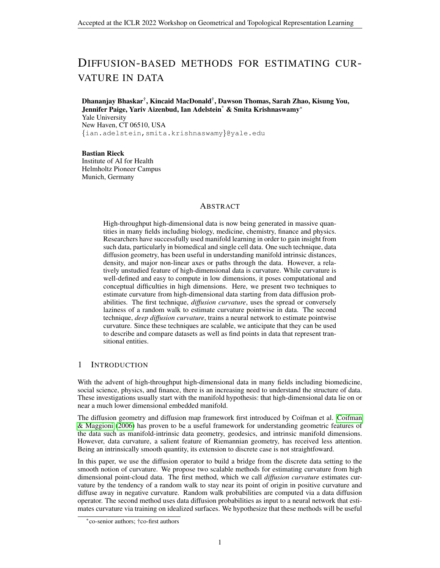in introducing curvature as a computable and useful feature for characterizing data from a variety of domains, particularly biomedical domains.

## 2 BACKGROUND AND PRELIMINARIES

Manifold Assumption and Data Diffusion. A useful assumption in representation learning is that high-dimensional data originates from an intrinsic low-dimensional manifold that is mapped via nonlinear functions to observable high-dimensional measurements; this is commonly referred to as the manifold assumption. Formally, let  $\mathcal{M}^d$  be a hidden d dimensional manifold that is only observable via a collection of  $n \gg d$  nonlinear functions  $f_1$ ; : : : ;  $f_n$  :  $\mathcal{M}^d \to \mathbb{R}$  that enable its immersion in a high-dimensional ambient space as  $F(M^d) = \{f(z) = (f_1(z), \dots, f_n(z))^T : z \in$  $\mathcal{M}^d$ }  $\subseteq \mathbb{R}^n$  from which data is collected. Conversely, given a dataset  $X = \{x_1, \ldots, x_N\} \subset \mathbb{R}^n$ of high-dimensional observations, manifold learning methods assume data points originate from a sampling  $Z = \{z_i\}_{i=1}^N \in \mathcal{M}^d$  of the underlying manifold via  $x_i = \mathbf{f}(z_i)$ ,  $i = 1, \dots, N$ , and aim to learn a low dimensional intrinsic representation that approximates the manifold geometry of  $\mathcal{M}^d$ .

To learn a manifold geometry from collected data, we use the popular diffusion maps construction of [Coifman & Maggioni](#page-4-0) [\(2006\)](#page-4-0). This construction starts by considering local similarities defined via a kernel  $\mathcal{K}(x; y)$ ,  $x; y \in \mathcal{F}(\mathcal{M}^d)$  that captures local neighborhoods in the data. While the Gaussian kernel is a popular choice, it encodes sampling density information in its computation.

To construct a diffusion geometry that is robust to sampling density variations, we use an anisotropic kernel

 $\mathcal{K}(x; y) = \mathcal{G}(x; y) = ||g(x; \cdot)||_1 ||g(y; \cdot)||_1$ , with  $\mathcal{G}(x; y) = e^{-kx - yk^2}$ 

as proposed in [Coifman & Maggioni](#page-4-0) [\(2006\)](#page-4-0), where  $0 \leq \leq 1$  controls the separation of geometry from density, with  $= 0$  yielding the classic Gaussian kernel, and  $= 1$  completely removing density and providing a geometric equivalent to uniform sampling of the underlying manifold.

Next, the similarities encoded by K are normalized to define transition probabilities  $p(x; y)$  =  $K(x,y) = ||K(x, y)||_1$  that are organized in an  $N \times N$  row stochastic matrix  $P_{ij} = p(x_i, x_j)$  that describes a Markovian diffusion process over the intrinsic geometry of the data.

Finally, a diffusion map is defined by taking the eigenvalues  $1 = 1 \ge 2 \ge \cdots \ge N$  and (corresponding) eigenvectors  $\{j\}_{j=1}^N$  of **P**, and mapping each data point  $x_i \in X$  to an N dimensional vector  $t(X_i) = \begin{bmatrix} t & 1 \\ 1 & 1 \end{bmatrix}$   $(X_i)$ ;  $\cdots$   $\begin{bmatrix} t & 1 \\ N & N \end{bmatrix}$  where t represents a diffusion-time. In general, as t increases, most of the eigenvalues become negligible; truncated diffusion map coordinates can thus be used for dimensionality reduction.

Graph Laplacian. The diffusion coordinates are closely related to the eigenfunctions of Laplace operators on manifolds, as well as their discretizations as eigenvectors of graph Laplacians.

There are multiple variants of graph Laplacians. The standard graph Laplacian is defined as  $L :=$ **D** − **W**, with **D** being the diagonal degree matrix of a graph, where  $D_{ij}$  :=  $\int_j W_{ij}$  and  $W_{ij}$  =  $\mathcal{K}(x_i; x_j)$ . Being a symmetric matrix with positive values, it is diagonalizable. Considering the Laplacian as an operator, it can represent a scalar-valued "signal"  $f: V \to \mathbb{R}$  on the vertices V of the graph as  $Lf =$  $\int_{V_i \sim V_j} (f(V_i) - f(V_j)).$ 

Viewed as an operator, this Laplacian is cumbersome, though, because its eigenvalues are unbounded. Thus, one typically uses the *normalized graph Laplacian* instead, which is defined as  $\mathcal{L} = I - D^{-1/2}WD^{-1/2}.$ 

Note that  $\mathcal L$  maintains the representation properties of L, and for a real-valued signal g, we have  $\langle g; \mathcal{L}g \rangle = \langle f; \mathbf{L}f \rangle = \int_{V_i \sim V_j} (f(v_i) - f(v_j))^2$ , with  $f = \mathbf{D}^{-1/2}g$ .

Finally, one can see that  $\mathcal{L} = I - D^{1-2}PD^{-1-2}$ , and thus it can be verified that the eigenvectors of **L** can be written as  $j = D^{1=2}$  j, with corresponding eigenvalues  $l_j = 1 - j$ .

It should be noted that when using the anisotropic kernel with  $= 1$ , the data can be treated as being uniformly sampled from the data manifold [\(Belkin & Niyogi, 2008\)](#page-4-1), in which case these two sets of eigenvectors coincide and the diffusion coordinates can be considered Laplacian eigenvectors.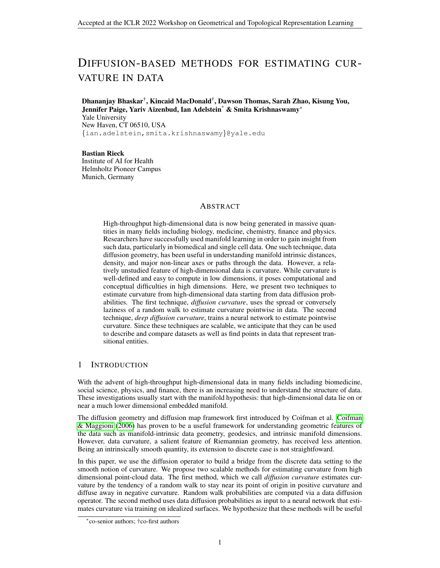Asymptotics of the Heat Trace. The eigenvalues of the Laplace-Beltrami operator encode geometry information about a compact Riemannian manifold, as can be seen via the asymptotic expansion of the trace of the heat kernel [\(Gordon, 2000\)](#page-4-2). Dimension, volume, and total scalar curvature are spectrally determined properties of the manifold. The Bochner formula similarly relates the Laplace-Beltrami operator to the Ricci curvature. Given the relationship between diffusion coordinates and the eigenvectors of the Laplace-Beltrami operator, one can surmise that the diffusion operator also encodes geometric information. These relations motivate our use of the diffusion operator to measure curvature on a data manifold. Appendix [A](#page-5-0) contains additional details in the Riemannian setting.

# 3 METHODS

### 3.1 DIFFUSION CURVATURE

To build intuition, we first discuss the case of surfaces (dimension  $n = 2$ ). Three canonical surfaces are the sphere (or surface of a ball), the cylinder, and the saddle. The Gaussian curvature of these surfaces are positive, zero, and negative, respectively. Imagine taking a sticker and trying to adhere it to one of these surfaces. The sticker, having been printed on a flat piece of paper, has zero Gaussian curvature. It will adhere perfectly to the cylinder, will bunch up (there will be too much sticker material) when trying to adhere it to the sphere, and will rip (there will be too little sticker material) when trying to adhere it to the saddle. This example builds intuition for the area comparison definition of Gaussian curvature, where one computes the limiting difference between the area  $A(r)$  of a geodesic disk on the manifold and a standard Euclidean disk, i.e.,  $K = \lim_{n \to \infty} 12^{-n^2 - A(r)} = r^4$ . For  $r\rightarrow 0^+$ example, Gaussian curvature will be positive when  $r^2 > A(r)$ , i.e. when the area of the sticker exceeds the area of the corresponding geodesic disk on the sphere. The Bishop-Gromov volume

**Theorem 1 (Bishop-Gromov)** Let  $(M^n; g)$  be a complete Riemannian manifold with Ricci curva*ture bounded below by*  $(n - 1)K$ *. Let*  $B(p, r)$  *denote the ball of radius* r *about a point*  $p \in M$ *and*  $B(p_K; r)$  *denote a ball of radius*  $r$  *about a point*  $p_K$  *in the complete n-dimensional simply connected space of constant sectional curvature* K. Then  $(r) = \frac{Vol B(p,r)}{Vol B(pK/r)}$  is a non-increasing *function on*  $(0, \infty)$  *which tends to* 1 *as*  $r \to 0$ *. In particular,*  $Vol B(p, r) \le Vol B(p, r)$ :

comparison theorem formalizes how to extend this into dimensions  $n > 2$ .

This theorem captures the sticker phenomenon: as curvature increases, the volume of comparable geodesic balls decreases. Positive curvature corresponds to geodesic convergence and smaller volumes, whereas negative curvature corresponds to geodesic divergence (spread) and larger volumes. The discrete nature of the data manifold makes it impossible to compare volumes as the distance scale (radius) goes to zero. However, by comparing volume (or mass) at various diffusion time scales, we are able to capture this relative spreading of geodesics.

**Definition 1** *The pointwise* Diffusion Curvature  $C(i)$  *is the probability that a random walk starting from a point* i *ends at one of the* k*-nearest neighbors of* i *after* t *steps of data diffusion, i.e.,* C(i) :=  $v_i P^t n_i$ , where  $v_i$  is the i<sup>th</sup> row of the identity matrix and  $n_i$  is the i<sup>th</sup> column of the *k*-nearest *neighbor indicator matrix, with entries of 1 for each* k th *nearest neighbor and zero otherwise.*

We have  $C(i) \in [0, 1]$ , with larger values indicating higher curvature relative to lower values. It estimates the curvature of a point on a graph by measuring the "laziness" of diffusions emanating from that point. Intuitively, a random walker is more likely to return to their starting point in a region of positive curvature (where paths converge) than negative curvature (where paths diverge). In negatively curved regions the random walker can get lost in the various divergent (disconnected) branches, and has a lower chance of returning to its origin. In positively curved regions, the paths of the random walker exhibit more inter-connectivity, so that the return probability of a walk is higher. As the diffusion operator can be viewed as a collection of transition probabilities of random walks, the "laziness" of powered diffusions serves as an indicator of pointwise curvature.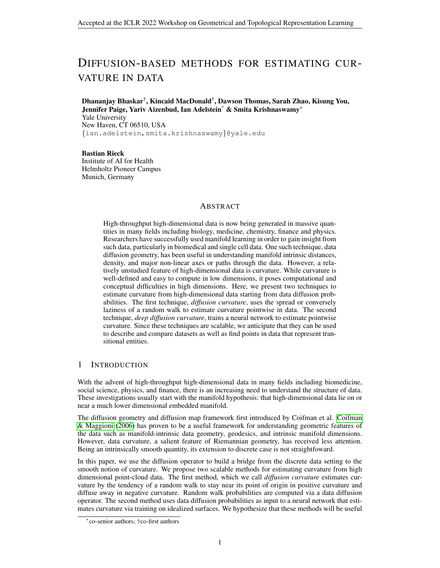<span id="page-3-0"></span>

Figure 1: Diffusion curvature on the torus and ellipsoid (lighter points have higher values), and spheres of increasing radii.

## 3.2 DEEP DIFFUSION CURVATURE

Having established a theoretical basis for the presence of curvature information in diffusion geometry, we next experimented with a feed-forward neural network to predict Gaussian curvature from diffusion probabilities.

To train the network, we sampled points uniformly (w.r.t area) on unit disks of constant curvature, inspired by the approach of [Bubenik et al.](#page-4-3) [\(2020\)](#page-4-3). In summary, the probability of a point lying within a disk of curvature  $r$ , at uniform density, is equal to the ratio of the area of the disk and the area of the unit disk.

To sample points (in polar coordinates) on the disk, we sample angles uniformly from  $[0, 2]$  and compute  $r$  using the inverse CDF (see Appendix [A.3](#page-6-0) for equations).

We generated samples for 81 linearly-spaced curvature values in the interval  $[-2,2]$ . For each curvature value, we sampled 1000, 2000, and 5000 points on 100 disks. Next, we computed diffusion probabilities of a Dirac centered at the origin, which we used to train a feed-forward neural network with 4 hidden layers to predict curvature.

# 4 RESULTS AND CONCLUSION

To illustrate diffusion curvature, we tested this method on several toy surfaces including a torus, a hyperboloid, and an ellipsoid. Each dataset was constructed using rejection sampling to mitigate interference from density differences. We performed a single pass of smoothing on the laziness values to correct for spurious local variations arising from dense/sparse regions. As seen in Figure [1,](#page-3-0) the laziness value correlates well with the expected curvature of each region: the positively-curved outer ring of the torus has a higher laziness value than the saddle-like hole (likewise for the elllipse). We conclude that  $C(i)$  visibly reconstructs the curvature of the underlying manifold.

The torus and ellipsoid examples in Figure [1](#page-3-0) show that diffusion curvature can measure the relative curvatures of points on a manifold. To test whether this measure can be used to estimate the absolute curvature *across* datasets, we calculated the average diffusion curvature of spheres of increasing radii, by sampling a uniform number of points from a polar cap of fixed height drawn from each sphere. In Figure [1](#page-3-0) (right), we plot the ground-truth Gaussian curvature of the spheres alongside the average diffusion curvature (normalized between 0 and 1). The close correspondence of the two measures suggests that, given relatively uniform samplings, the diffusion curvature encodes some degree of absolute curvature, and could be used to draw comparisons across datasets.

Moreover, we tested the deep diffusion curvature network on a torus ( $r = 1$ ;  $R = 3$ ) and an ellipsoid  $(a = 2/b = 2.5; c = 3)$  $(a = 2/b = 2.5; c = 3)$  $(a = 2/b = 2.5; c = 3)$  by predicting Gaussian curvature at sampled points (Table [1](#page-4-4) and Figure 2) in the Appendix). We fixed the power of the diffusion operator  $(t = 5)$  and varied the number of point samples in the training and test data to evaluate the model performance at varying sampling densities. For a fixed-step random walk, we expect that the Dirac signal will diffuse more under dense sampling, hence increasing the ability of the model to estimate curvature based on diffusion probabilities. Our experimental findings (Table [1\)](#page-4-4) broadly agree with this hypothesis, with RMSE decreasing with increase in sampling density for both the torus and the ellipsoid. However, despite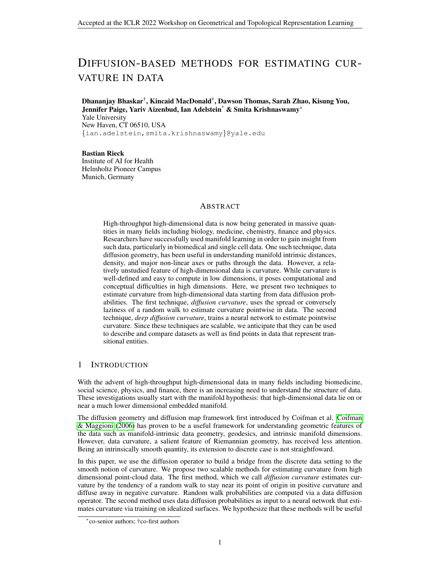<span id="page-4-4"></span>

|                                | # samples on test manifold (samples per unit surface area) |          |          |                                          |          |          |
|--------------------------------|------------------------------------------------------------|----------|----------|------------------------------------------|----------|----------|
| # samples on training manifold | <b>Torus</b> ( $r = 1, R = 3$ )                            |          |          | <b>Ellipsoid</b> (a = 2; b = 2.5; c = 3) |          |          |
|                                | 1000                                                       | 2000     | 5000     | 1000                                     | 2000     | 5000     |
|                                | (8.444)                                                    | (16.887) | (42.217) | (12.797)                                 | (25.594) | (63.986) |
| 1000                           | 0.540                                                      | 0.548    | 0.569    | 0.815                                    | 0.711    | 0.636    |
| 2000                           | 0.542                                                      | 0.541    | 0.554    | 0.794                                    | 0.703    | 0.637    |
| 5000                           | 0.537                                                      | 0.515    | 0.497    | 0.776                                    | 0.702    | 0.612    |

Table 1: RMSE of curvature estimation at varying sampling density of training and test manifolds.

the higher sampling density on the ellipse test cases, the model performs better on the torus. This is likely due to the range of curvature values on which the model is trained and tested. The ellipse curvature varies between 0:06 and 0:36 whereas the curvature of the torus has a broader range, from −0:45 to 0:25. Recall that the model is trained using 81 linearly spaced curvature values between −2 and 2. Therefore, the training data contains 600 samples with curvature within the range of the ellipse and 1400 samples with curvature within the range of the torus.

Finally, we estimated the curvature of a publicly available mass cytometry dataset of induced pluripotent stem cell (iPSC) reprogramming of 2005 mouse embryonic fibroblasts [\(Zunder et al.,](#page-5-1) [2015\)](#page-5-1). This type of data has a branched hyperbolic structure [\(Moon et al., 2019\)](#page-4-5), which our model correctly associates with negative curvature (see Figure [3](#page-7-1) in the Appendix).

Conclusion. Access to curvature information via diffusion presents an exciting opportunity for understanding the geometry of high-throughput, high-dimensional datasets. Here, we report preliminary results on estimating Gaussian curvature of 'toy' datasets using diffusion curvature and deep diffusion curvature. In future work, we will test this approach on larger benchmark datasets, and investigate the possibility of recovering other notions of curvature, including scalar curvature, sectional curvature, and the Riemann curvature tensor.

## **REFERENCES**

- <span id="page-4-1"></span>Mikhail Belkin and Partha Niyogi. Towards a theoretical foundation for Laplacian-based manifold methods. *Journal of Computer and System Sciences*, 74(8):1289–1308, December 2008. ISSN 0022-0000. doi: 10.1016/j.jcss.2007.08.006.
- <span id="page-4-3"></span>Peter Bubenik, Michael Hull, Dhruv Patel, and Benjamin Whittle. Persistent homology detects curvature. *Inverse Problems*, 36(2):025008, February 2020. ISSN 0266-5611, 1361-6420. doi: 10.1088/1361-6420/ab4ac0. URL <http://arxiv.org/abs/1905.13196>. arXiv: 1905.13196.
- <span id="page-4-0"></span>Ronald R. Coifman and Mauro Maggioni. Diffusion wavelets. *Applied and Computational Harmonic Analysis*, 21(1):53–94, July 2006. ISSN 1063-5203. doi: 10.1016/j.acha.2006.04.004.
- <span id="page-4-2"></span>Carolyn S Gordon. Chapter 6 - survey of isospectral manifolds. *Handbook of Differential Geometry, Editor(s): Franki J.E. Dillen, Leopold C.A. Verstraelen*, 1:747–778, 2000. ISSN 1874-5741. doi: 10.1016/S1874-5741(00)80009-6.
- Shane Lubold, Arun G. Chandrasekhar, and Tyler H. McCormick. Identifying the Latent Space Geometry of Network Models through Analysis of Curvature. Technical Report 28273, National Bureau of Economic Research, Inc, December 2020. URL [https://ideas.repec.org/](https://ideas.repec.org/p/nbr/nberwo/28273.html) [p/nbr/nberwo/28273.html](https://ideas.repec.org/p/nbr/nberwo/28273.html). Publication Title: NBER Working Papers.
- <span id="page-4-5"></span>Kevin R. Moon, David van Dijk, Zheng Wang, Scott Gigante, Daniel B. Burkhardt, William S. Chen, Kristina Yim, Antonia van den Elzen, Matthew J. Hirn, Ronald R. Coifman, Natalia B. Ivanova, Guy Wolf, and Smita Krishnaswamy. Visualizing Structure and Transitions in High-Dimensional Biological Data. *Nature biotechnology*, 37(12):1482–1492, December 2019. ISSN 1087-0156. doi: 10.1038/s41587-019-0336-3.
- Areejit Samal, R. P. Sreejith, Jiao Gu, Shiping Liu, Emil Saucan, and Jurgen Jost. Comparative ¨ analysis of two discretizations of Ricci curvature for complex networks. *Scientific Reports*, 8(1):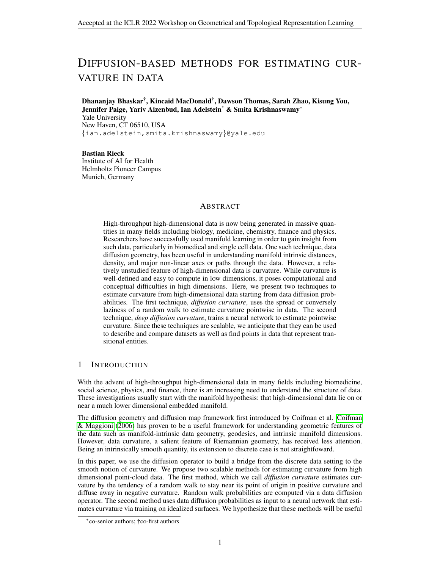8650, June 2018. ISSN 2045-2322. doi: 10.1038/s41598-018-27001-3. Number: 1 Publisher: Nature Publishing Group.

- Jayson Sia, Edmond Jonckheere, and Paul Bogdan. Ollivier-Ricci Curvature-Based Method to Community Detection in Complex Networks. *Scientific Reports*, 9(1):9800, July 2019. ISSN 2045- 2322. doi: 10.1038/s41598-019-46079-x. Number: 1 Publisher: Nature Publishing Group.
- Duluxan Sritharan, Shu Wang, and Sahand Hormoz. Computing the Riemannian curvature of image patch and single-cell RNA sequencing data manifolds using extrinsic differential geometry. *Proceedings of the National Academy of Sciences*, 118(29), July 2021. ISSN 0027-8424, 1091-6490. doi: 10.1073/pnas.2100473118. Publisher: National Academy of Sciences Section: Biological Sciences.
- <span id="page-5-1"></span>Eli R. Zunder, Ernesto Lujan, Yury Goltsev, Marius Wernig, and Garry P. Nolan. A continuous molecular roadmap to iPSC reprogramming through progression analysis of singlecell mass cytometry. *Cell Stem Cell*, 16(3):323–337, March 2015. ISSN 1875-9777. doi: 10.1016/j.stem.2015.01.015.

# <span id="page-5-0"></span>A APPENDIX

## A.1 ASYMPTOTICS OF THE HEAT TRACE

Given the strong relationship between diffusion coordinates and the eigenvectors of the Laplace-Beltrami operator, one can believe that these two objects capture similar properties of the manifold. As explored below, the eigenvalues of the Laplace-Beltrami operator relate to the curvature of a compact Riemannian manifold via the asymptotics of the trace of the heat kernel, and this lends credence to use of the diffusion probabilities to measure curvature on a data manifold. This section follows closely the exposition in [Gordon](#page-4-2) [\(2000\)](#page-4-2).

On a compact Riemannian manifold M we define the Laplace-Beltrami operator to be  $(f)$  =  $-div(grad(f))$ : We consider the eigenvalues  $(f) = f$  and note that the spectrum of acting on  $L^2(M)$  is a discrete set of non-negative numbers  $\{0 = 0 \leq 1 \leq 2 \leq \cdots \}$  where each eigenvalue is written as many times as its multiplicity.

For compact Riemannian manifolds the heat kernel (or fundamental solution of the heat equation  $u_t$  + (*u*) = 0) exists uniquely and is given by

$$
K(t; x; y) = \int_{j}^{x} e^{-j t} f(x) f(y)
$$

where the  $j$  and  $j$  are the eigenvalues and associated eigenfunctions of the Laplace-Beltrami operator, with the eigenfunctions normalized to form an orthonormal basis of  $L^2(M)$ .

We take the trace of the heat kernel and note that

$$
Z(t) \equiv \int_{M}^{L} K(t; x; x) dx = \int_{j=0}^{\infty} e^{-j t}
$$

so that the spectrum  $\{j\}$  determines the heat trace  $Z(t)$ .

Minakshisundaram's formula for the asymptotic expansion of  $Z(t)$  as  $t \to 0^+$  is given by

$$
Z(t) = (4 \ t)^{-n=2} \bigotimes_{k=1}^{\infty} a_k t^k
$$

where the coefficients  $a_k$  are expressed via the metric and its derivatives. The first handful of coefficients have been calculated explicitly:

$$
a_0 = vol(M); \qquad a_1 = \frac{1}{6} \bigg|_{M}^{2}, \qquad a_2 = \frac{1}{360} \bigg|_{M}^{2} (5^{-2} - 2|Ric|^{2} - 10|R|^{2})
$$